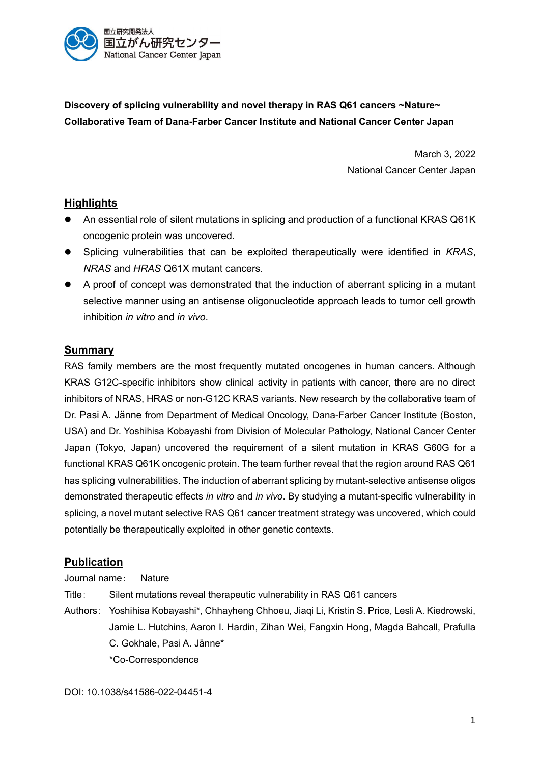

**Discovery of splicing vulnerability and novel therapy in RAS Q61 cancers ~Nature~ Collaborative Team of Dana-Farber Cancer Institute and National Cancer Center Japan**

> March 3, 2022 National Cancer Center Japan

## **Highlights**

- An essential role of silent mutations in splicing and production of a functional KRAS Q61K oncogenic protein was uncovered.
- Splicing vulnerabilities that can be exploited therapeutically were identified in *KRAS*, *NRAS* and *HRAS* Q61X mutant cancers.
- A proof of concept was demonstrated that the induction of aberrant splicing in a mutant selective manner using an antisense oligonucleotide approach leads to tumor cell growth inhibition *in vitro* and *in vivo*.

#### **Summary**

RAS family members are the most frequently mutated oncogenes in human cancers. Although KRAS G12C-specific inhibitors show clinical activity in patients with cancer, there are no direct inhibitors of NRAS, HRAS or non-G12C KRAS variants. New research by the collaborative team of Dr. Pasi A. Jänne from Department of Medical Oncology, Dana-Farber Cancer Institute (Boston, USA) and Dr. Yoshihisa Kobayashi from Division of Molecular Pathology, National Cancer Center Japan (Tokyo, Japan) uncovered the requirement of a silent mutation in KRAS G60G for a functional KRAS Q61K oncogenic protein. The team further reveal that the region around RAS Q61 has splicing vulnerabilities. The induction of aberrant splicing by mutant-selective antisense oligos demonstrated therapeutic effects *in vitro* and *in vivo*. By studying a mutant-specific vulnerability in splicing, a novel mutant selective RAS Q61 cancer treatment strategy was uncovered, which could potentially be therapeutically exploited in other genetic contexts.

## **Publication**

Journal name: Nature

Title: Silent mutations reveal therapeutic vulnerability in RAS Q61 cancers

Authors: Yoshihisa Kobayashi\*, Chhayheng Chhoeu, Jiaqi Li, Kristin S. Price, Lesli A. Kiedrowski, Jamie L. Hutchins, Aaron I. Hardin, Zihan Wei, Fangxin Hong, Magda Bahcall, Prafulla C. Gokhale, Pasi A. Jänne\* \*Co-Correspondence

DOI: 10.1038/s41586-022-04451-4